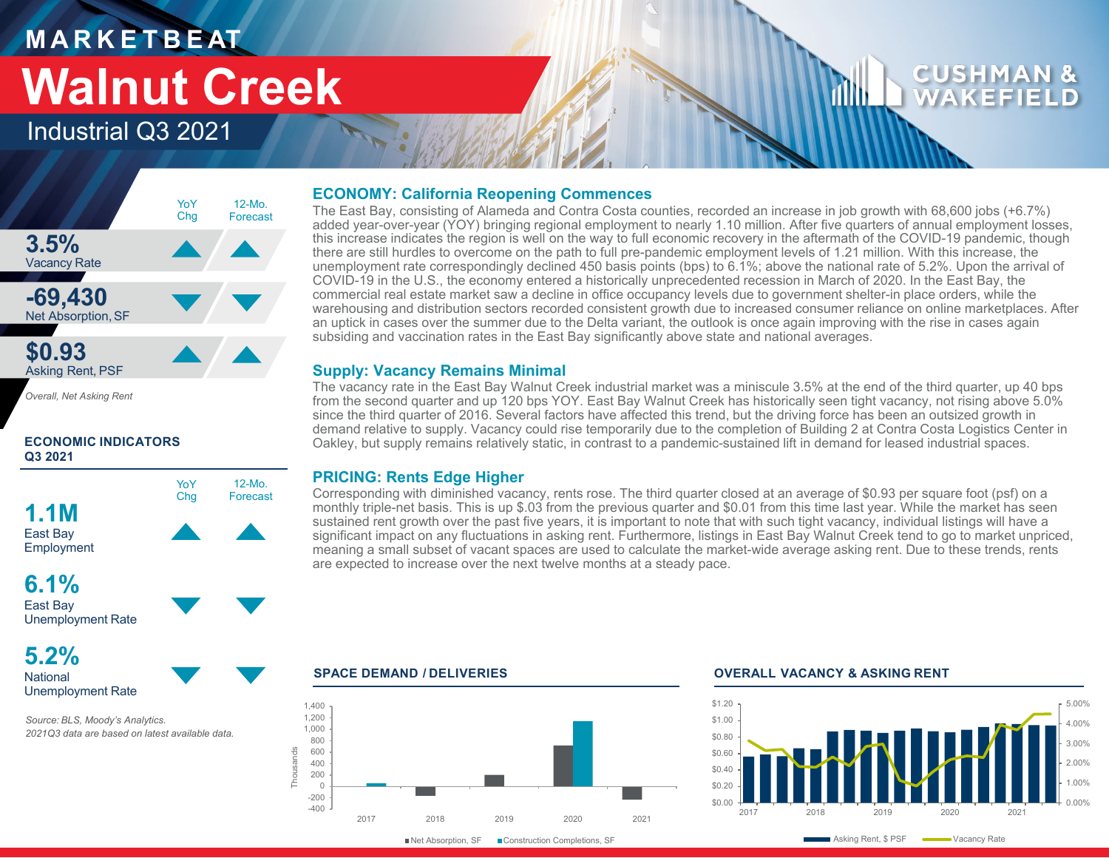## **M A R K E T B E AT Walnut Creek**

### Industrial Q3 2021



*Overall, Net Asking Rent*

#### **ECONOMIC INDICATORS Q3 2021**



Unemployment Rate

**5.2% National** Unemployment Rate

*Source: BLS, Moody's Analytics. 2021Q3 data are based on latest available data.* 

#### **ECONOMY: California Reopening Commences**

The East Bay, consisting of Alameda and Contra Costa counties, recorded an increase in job growth with 68,600 jobs (+6.7%) added year-over-year (YOY) bringing regional employment to nearly 1.10 million. After five quarters of annual employment losses, this increase indicates the region is well on the way to full economic recovery in the aftermath of the COVID-19 pandemic, though there are still hurdles to overcome on the path to full pre-pandemic employment levels of 1.21 million. With this increase, the unemployment rate correspondingly declined 450 basis points (bps) to 6.1%; above the national rate of 5.2%. Upon the arrival of COVID-19 in the U.S., the economy entered a historically unprecedented recession in March of 2020. In the East Bay, the commercial real estate market saw a decline in office occupancy levels due to government shelter-in place orders, while the warehousing and distribution sectors recorded consistent growth due to increased consumer reliance on online marketplaces. After an uptick in cases over the summer due to the Delta variant, the outlook is once again improving with the rise in cases again subsiding and vaccination rates in the East Bay significantly above state and national averages.

### **Supply: Vacancy Remains Minimal**

The vacancy rate in the East Bay Walnut Creek industrial market was a miniscule 3.5% at the end of the third quarter, up 40 bps from the second quarter and up 120 bps YOY. East Bay Walnut Creek has historically seen tight vacancy, not rising above 5.0% since the third quarter of 2016. Several factors have affected this trend, but the driving force has been an outsized growth in demand relative to supply. Vacancy could rise temporarily due to the completion of Building 2 at Contra Costa Logistics Center in Oakley, but supply remains relatively static, in contrast to a pandemic-sustained lift in demand for leased industrial spaces.

### **PRICING: Rents Edge Higher**

Corresponding with diminished vacancy, rents rose. The third quarter closed at an average of \$0.93 per square foot (psf) on a monthly triple-net basis. This is up \$.03 from the previous quarter and \$0.01 from this time last year. While the market has seen sustained rent growth over the past five years, it is important to note that with such tight vacancy, individual listings will have a significant impact on any fluctuations in asking rent. Furthermore, listings in East Bay Walnut Creek tend to go to market unpriced, meaning a small subset of vacant spaces are used to calculate the market-wide average asking rent. Due to these trends, rents are expected to increase over the next twelve months at a steady pace.



#### **SPACE DEMAND / DELIVERIES OVERALL VACANCY & ASKING RENT**



CUSHMA WAKEFI

■Net Absorption, SF ■ Construction Completions, SF

Asking Rent, \$ PSF **Wacancy Rate**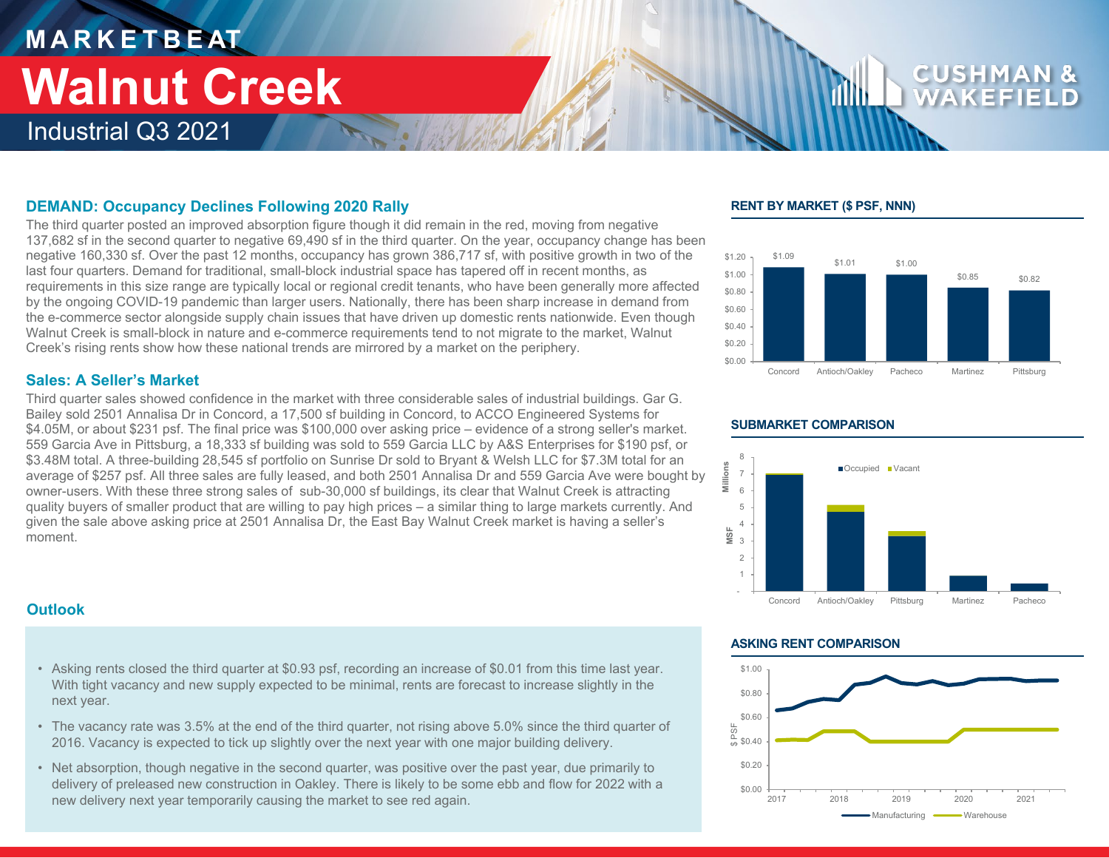### **M A R K E T B E AT** Industrial Q3 2021 **Walnut Creek**

### **DEMAND: Occupancy Declines Following 2020 Rally**

The third quarter posted an improved absorption figure though it did remain in the red, moving from negative 137,682 sf in the second quarter to negative 69,490 sf in the third quarter. On the year, occupancy change has been negative 160,330 sf. Over the past 12 months, occupancy has grown 386,717 sf, with positive growth in two of the last four quarters. Demand for traditional, small-block industrial space has tapered off in recent months, as requirements in this size range are typically local or regional credit tenants, who have been generally more affected by the ongoing COVID-19 pandemic than larger users. Nationally, there has been sharp increase in demand from the e-commerce sector alongside supply chain issues that have driven up domestic rents nationwide. Even though Walnut Creek is small-block in nature and e-commerce requirements tend to not migrate to the market, Walnut Creek's rising rents show how these national trends are mirrored by a market on the periphery.

#### **Sales: A Seller's Market**

Third quarter sales showed confidence in the market with three considerable sales of industrial buildings. Gar G. Bailey sold 2501 Annalisa Dr in Concord, a 17,500 sf building in Concord, to ACCO Engineered Systems for \$4.05M, or about \$231 psf. The final price was \$100,000 over asking price – evidence of a strong seller's market. 559 Garcia Ave in Pittsburg, a 18,333 sf building was sold to 559 Garcia LLC by A&S Enterprises for \$190 psf, or \$3.48M total. A three-building 28,545 sf portfolio on Sunrise Dr sold to Bryant & Welsh LLC for \$7.3M total for an average of \$257 psf. All three sales are fully leased, and both 2501 Annalisa Dr and 559 Garcia Ave were bought by owner-users. With these three strong sales of sub-30,000 sf buildings, its clear that Walnut Creek is attracting quality buyers of smaller product that are willing to pay high prices – a similar thing to large markets currently. And given the sale above asking price at 2501 Annalisa Dr, the East Bay Walnut Creek market is having a seller's moment.

#### **RENT BY MARKET (\$ PSF, NNN)**





#### **SUBMARKET COMPARISON**

### **Outlook**

- Asking rents closed the third quarter at \$0.93 psf, recording an increase of \$0.01 from this time last year. With tight vacancy and new supply expected to be minimal, rents are forecast to increase slightly in the next year.
- The vacancy rate was 3.5% at the end of the third quarter, not rising above 5.0% since the third quarter of 2016. Vacancy is expected to tick up slightly over the next year with one major building delivery.
- Net absorption, though negative in the second quarter, was positive over the past year, due primarily to delivery of preleased new construction in Oakley. There is likely to be some ebb and flow for 2022 with a new delivery next year temporarily causing the market to see red again.

#### **ASKING RENT COMPARISON**

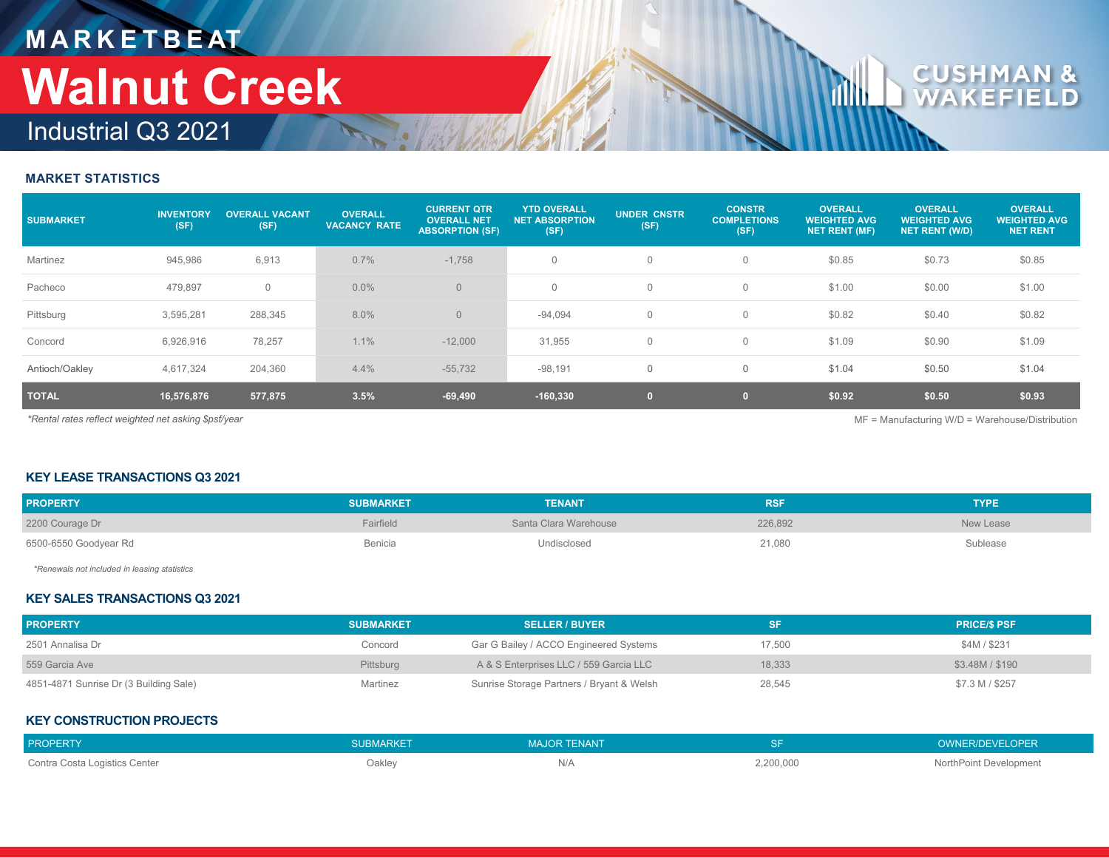## **M A R K E T B E AT** Industrial Q3 2021 **Walnut Creek**

# CU

#### **MARKET STATISTICS**

| <b>SUBMARKET</b>                                                                                          | <b>INVENTORY</b><br>(SF) | <b>OVERALL VACANT</b><br>(SF) | <b>OVERALL</b><br><b>VACANCY RATE</b> | <b>CURRENT QTR</b><br><b>OVERALL NET</b><br><b>ABSORPTION (SF)</b> | <b>YTD OVERALL</b><br><b>NET ABSORPTION</b><br>(SF) | <b>UNDER CNSTR</b><br>(SF) | <b>CONSTR</b><br><b>COMPLETIONS</b><br>(SF) | <b>OVERALL</b><br><b>WEIGHTED AVG</b><br><b>NET RENT (MF)</b> | <b>OVERALL</b><br><b>WEIGHTED AVG</b><br><b>NET RENT (W/D)</b> | <b>OVERALL</b><br><b>WEIGHTED AVG</b><br><b>NET RENT</b> |
|-----------------------------------------------------------------------------------------------------------|--------------------------|-------------------------------|---------------------------------------|--------------------------------------------------------------------|-----------------------------------------------------|----------------------------|---------------------------------------------|---------------------------------------------------------------|----------------------------------------------------------------|----------------------------------------------------------|
| Martinez                                                                                                  | 945,986                  | 6,913                         | 0.7%                                  | $-1,758$                                                           |                                                     | $\mathbf 0$                | $\Omega$                                    | \$0.85                                                        | \$0.73                                                         | \$0.85                                                   |
| Pacheco                                                                                                   | 479,897                  | $\mathbf{0}$                  | $0.0\%$                               | $\overline{0}$                                                     | $\mathbf{0}$                                        | $\mathbf 0$                | 0                                           | \$1.00                                                        | \$0.00                                                         | \$1.00                                                   |
| Pittsburg                                                                                                 | 3,595,281                | 288,345                       | 8.0%                                  | $\Omega$                                                           | $-94,094$                                           | $\mathbf 0$                | 0                                           | \$0.82                                                        | \$0.40                                                         | \$0.82                                                   |
| Concord                                                                                                   | 6,926,916                | 78,257                        | 1.1%                                  | $-12,000$                                                          | 31,955                                              | $\mathbf 0$                | 0                                           | \$1.09                                                        | \$0.90                                                         | \$1.09                                                   |
| Antioch/Oakley                                                                                            | 4,617,324                | 204,360                       | 4.4%                                  | $-55,732$                                                          | $-98,191$                                           | $\mathbf 0$                | 0                                           | \$1.04                                                        | \$0.50                                                         | \$1.04                                                   |
| <b>TOTAL</b>                                                                                              | 16,576,876               | 577,875                       | 3.5%                                  | $-69,490$                                                          | $-160,330$                                          | $\bullet$                  |                                             | \$0.92                                                        | \$0.50                                                         | \$0.93                                                   |
| *Rental rates reflect weighted net asking \$psf/year<br>$MF =$ Manufacturing W/D = Warehouse/Distribution |                          |                               |                                       |                                                                    |                                                     |                            |                                             |                                                               |                                                                |                                                          |

#### **KEY LEASE TRANSACTIONS Q3 2021**

| <b>PROPERTY</b>       | <b>SUBMARKET</b> | <b>TENANT</b>         | <b>RSF</b> | <b>TYPE</b> |
|-----------------------|------------------|-----------------------|------------|-------------|
| 2200 Courage Dr       | Fairfield        | Santa Clara Warehouse | 226,892    | New Lease   |
| 6500-6550 Goodyear Rd | Benicia          | Undisclosed           | 21,080     | Sublease    |

*\*Renewals not included in leasing statistics*

#### **KEY SALES TRANSACTIONS Q3 2021**

| <b>PROPERTY</b>                        | <b>SUBMARKET</b> | <b>SELLER / BUYER</b>                     | <b>SF</b> | <b>PRICE/S PSF</b> |
|----------------------------------------|------------------|-------------------------------------------|-----------|--------------------|
| 2501 Annalisa Dr                       | Concord          | Gar G Bailey / ACCO Engineered Systems    | 17.500    | \$4M / \$231       |
| 559 Garcia Ave                         | Pittsburg        | A & S Enterprises LLC / 559 Garcia LLC    | 18.333    | \$3,48M / \$190    |
| 4851-4871 Sunrise Dr (3 Building Sale) | Martinez         | Sunrise Storage Partners / Bryant & Welsh | 28,545    | \$7.3 M / \$257    |

#### **KEY CONSTRUCTION PROJECTS**

| <b>PROPERTY</b>               | SUBMARKE' | MAJOR TENANT |           | <b>OWNER/DEVELOPER</b> |
|-------------------------------|-----------|--------------|-----------|------------------------|
| Contra Costa Logistics Center | Oakley    | IN/A         | 2,200,000 | NorthPoint Development |